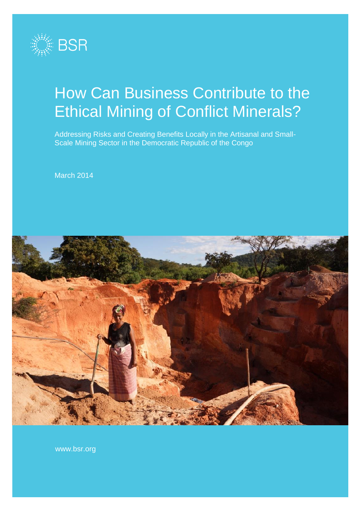

# How Can Business Contribute to the Ethical Mining of Conflict Minerals?

Addressing Risks and Creating Benefits Locally in the Artisanal and Small-Scale Mining Sector in the Democratic Republic of the Congo

March 2014



www.bsr.org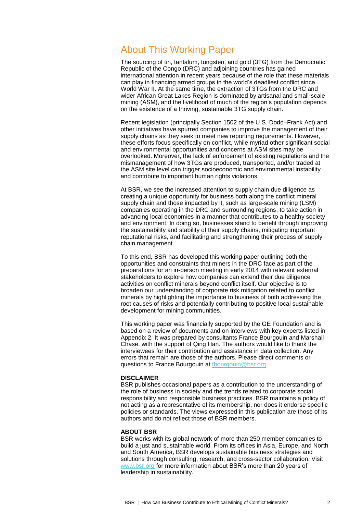### About This Working Paper

The sourcing of tin, tantalum, tungsten, and gold (3TG) from the Democratic Republic of the Congo (DRC) and adjoining countries has gained international attention in recent years because of the role that these materials can play in financing armed groups in the world's deadliest conflict since World War II. At the same time, the extraction of 3TGs from the DRC and wider African Great Lakes Region is dominated by artisanal and small-scale mining (ASM), and the livelihood of much of the region's population depends on the existence of a thriving, sustainable 3TG supply chain.

Recent legislation (principally Section 1502 of the U.S. Dodd–Frank Act) and other initiatives have spurred companies to improve the management of their supply chains as they seek to meet new reporting requirements. However, these efforts focus specifically on conflict, while myriad other significant social and environmental opportunities and concerns at ASM sites may be overlooked. Moreover, the lack of enforcement of existing regulations and the mismanagement of how 3TGs are produced, transported, and/or traded at the ASM site level can trigger socioeconomic and environmental instability and contribute to important human rights violations.

At BSR, we see the increased attention to supply chain due diligence as creating a unique opportunity for business both along the conflict mineral supply chain and those impacted by it, such as large-scale mining (LSM) companies operating in the DRC and surrounding regions, to take action in advancing local economies in a manner that contributes to a healthy society and environment. In doing so, businesses stand to benefit through improving the sustainability and stability of their supply chains, mitigating important reputational risks, and facilitating and strengthening their process of supply chain management.

To this end, BSR has developed this working paper outlining both the opportunities and constraints that miners in the DRC face as part of the preparations for an in-person meeting in early 2014 with relevant external stakeholders to explore how companies can extend their due diligence activities on conflict minerals beyond conflict itself. Our objective is to broaden our understanding of corporate risk mitigation related to conflict minerals by highlighting the importance to business of both addressing the root causes of risks and potentially contributing to positive local sustainable development for mining communities.

This working paper was financially supported by the GE Foundation and is based on a review of documents and on interviews with key experts listed in Appendix 2. It was prepared by consultants France Bourgouin and Marshall Chase, with the support of Qing Han. The authors would like to thank the interviewees for their contribution and assistance in data collection. Any errors that remain are those of the authors. Please direct comments or questions to France Bourgouin at [fbourgouin@bsr.org.](mailto:fbourgouin@bsr.org)

#### **DISCLAIMER**

BSR publishes occasional papers as a contribution to the understanding of the role of business in society and the trends related to corporate social responsibility and responsible business practices. BSR maintains a policy of not acting as a representative of its membership, nor does it endorse specific policies or standards. The views expressed in this publication are those of its authors and do not reflect those of BSR members.

#### **ABOUT BSR**

BSR works with its global network of more than 250 member companies to build a just and sustainable world. From its offices in Asia, Europe, and North and South America, BSR develops sustainable business strategies and solutions through consulting, research, and cross-sector collaboration. Visit [www.bsr.org](http://www.bsr.org/) for more information about BSR's more than 20 years of leadership in sustainability.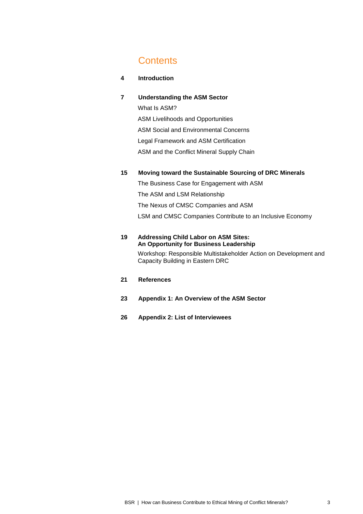## **Contents**

#### **4 Introduction**

#### **7 Understanding the ASM Sector**

What Is ASM? ASM Livelihoods and Opportunities ASM Social and Environmental Concerns Legal Framework and ASM Certification ASM and the Conflict Mineral Supply Chain

#### **15 Moving toward the Sustainable Sourcing of DRC Minerals**

The Business Case for Engagement with ASM The ASM and LSM Relationship The Nexus of CMSC Companies and ASM LSM and CMSC Companies Contribute to an Inclusive Economy

#### **19 Addressing Child Labor on ASM Sites: An Opportunity for Business Leadership**

Workshop: Responsible Multistakeholder Action on Development and Capacity Building in Eastern DRC

### **21 References**

- **23 Appendix 1: An Overview of the ASM Sector**
- **26 Appendix 2: List of Interviewees**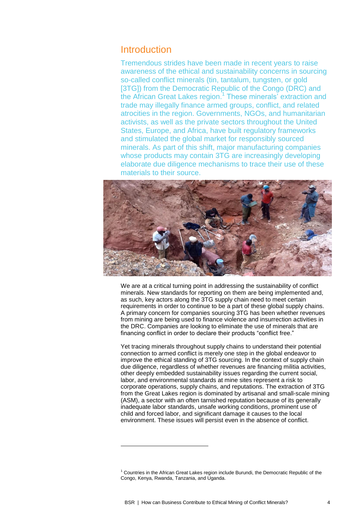### **Introduction**

Tremendous strides have been made in recent years to raise awareness of the ethical and sustainability concerns in sourcing so-called conflict minerals (tin, tantalum, tungsten, or gold [3TG]) from the Democratic Republic of the Congo (DRC) and the African Great Lakes region.<sup>1</sup> These minerals' extraction and trade may illegally finance armed groups, conflict, and related atrocities in the region. Governments, NGOs, and humanitarian activists, as well as the private sectors throughout the United States, Europe, and Africa, have built regulatory frameworks and stimulated the global market for responsibly sourced minerals. As part of this shift, major manufacturing companies whose products may contain 3TG are increasingly developing elaborate due diligence mechanisms to trace their use of these materials to their source.



We are at a critical turning point in addressing the sustainability of conflict minerals. New standards for reporting on them are being implemented and, as such, key actors along the 3TG supply chain need to meet certain requirements in order to continue to be a part of these global supply chains. A primary concern for companies sourcing 3TG has been whether revenues from mining are being used to finance violence and insurrection activities in the DRC. Companies are looking to eliminate the use of minerals that are financing conflict in order to declare their products "conflict free."

Yet tracing minerals throughout supply chains to understand their potential connection to armed conflict is merely one step in the global endeavor to improve the ethical standing of 3TG sourcing. In the context of supply chain due diligence, regardless of whether revenues are financing militia activities, other deeply embedded sustainability issues regarding the current social, labor, and environmental standards at mine sites represent a risk to corporate operations, supply chains, and reputations. The extraction of 3TG from the Great Lakes region is dominated by artisanal and small-scale mining (ASM), a sector with an often tarnished reputation because of its generally inadequate labor standards, unsafe working conditions, prominent use of child and forced labor, and significant damage it causes to the local environment. These issues will persist even in the absence of conflict.

1

 $1$  Countries in the African Great Lakes region include Burundi, the Democratic Republic of the Congo, Kenya, Rwanda, Tanzania, and Uganda.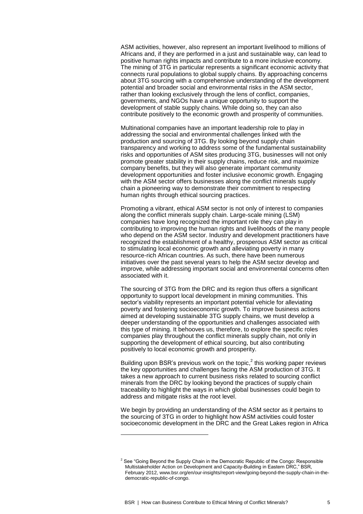ASM activities, however, also represent an important livelihood to millions of Africans and, if they are performed in a just and sustainable way, can lead to positive human rights impacts and contribute to a more inclusive economy. The mining of 3TG in particular represents a significant economic activity that connects rural populations to global supply chains. By approaching concerns about 3TG sourcing with a comprehensive understanding of the development potential and broader social and environmental risks in the ASM sector, rather than looking exclusively through the lens of conflict, companies, governments, and NGOs have a unique opportunity to support the development of stable supply chains. While doing so, they can also contribute positively to the economic growth and prosperity of communities.

Multinational companies have an important leadership role to play in addressing the social and environmental challenges linked with the production and sourcing of 3TG. By looking beyond supply chain transparency and working to address some of the fundamental sustainability risks and opportunities of ASM sites producing 3TG, businesses will not only promote greater stability in their supply chains, reduce risk, and maximize company benefits, but they will also generate important community development opportunities and foster inclusive economic growth. Engaging with the ASM sector offers businesses along the conflict minerals supply chain a pioneering way to demonstrate their commitment to respecting human rights through ethical sourcing practices.

Promoting a vibrant, ethical ASM sector is not only of interest to companies along the conflict minerals supply chain. Large-scale mining (LSM) companies have long recognized the important role they can play in contributing to improving the human rights and livelihoods of the many people who depend on the ASM sector. Industry and development practitioners have recognized the establishment of a healthy, prosperous ASM sector as critical to stimulating local economic growth and alleviating poverty in many resource-rich African countries. As such, there have been numerous initiatives over the past several years to help the ASM sector develop and improve, while addressing important social and environmental concerns often associated with it.

The sourcing of 3TG from the DRC and its region thus offers a significant opportunity to support local development in mining communities. This sector's viability represents an important potential vehicle for alleviating poverty and fostering socioeconomic growth. To improve business actions aimed at developing sustainable 3TG supply chains, we must develop a deeper understanding of the opportunities and challenges associated with this type of mining. It behooves us, therefore, to explore the specific roles companies play throughout the conflict minerals supply chain, not only in supporting the development of ethical sourcing, but also contributing positively to local economic growth and prosperity.

Building upon BSR's previous work on the topic, $2$  this working paper reviews the key opportunities and challenges facing the ASM production of 3TG. It takes a new approach to current business risks related to sourcing conflict minerals from the DRC by looking beyond the practices of supply chain traceability to highlight the ways in which global businesses could begin to address and mitigate risks at the root level.

We begin by providing an understanding of the ASM sector as it pertains to the sourcing of 3TG in order to highlight how ASM activities could foster socioeconomic development in the DRC and the Great Lakes region in Africa

1

 $2$  See "Going Beyond the Supply Chain in the Democratic Republic of the Congo: Responsible Multistakeholder Action on Development and Capacity-Building in Eastern DRC," BSR, February 2012, www.bsr.org/en/our-insights/report-view/going-beyond-the-supply-chain-in-thedemocratic-republic-of-congo.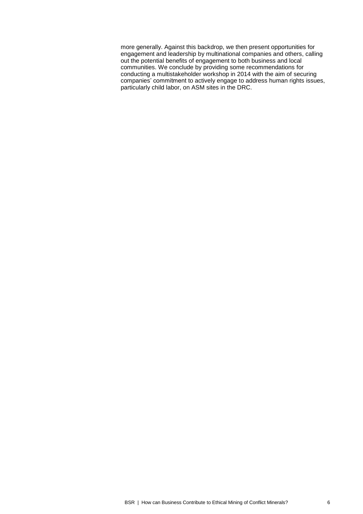more generally. Against this backdrop, we then present opportunities for engagement and leadership by multinational companies and others, calling out the potential benefits of engagement to both business and local communities. We conclude by providing some recommendations for conducting a multistakeholder workshop in 2014 with the aim of securing companies' commitment to actively engage to address human rights issues, particularly child labor, on ASM sites in the DRC.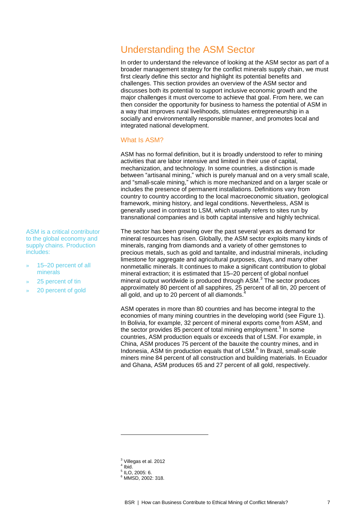# Understanding the ASM Sector

In order to understand the relevance of looking at the ASM sector as part of a broader management strategy for the conflict minerals supply chain, we must first clearly define this sector and highlight its potential benefits and challenges. This section provides an overview of the ASM sector and discusses both its potential to support inclusive economic growth and the major challenges it must overcome to achieve that goal. From here, we can then consider the opportunity for business to harness the potential of ASM in a way that improves rural livelihoods, stimulates entrepreneurship in a socially and environmentally responsible manner, and promotes local and integrated national development.

#### What Is ASM?

ASM has no formal definition, but it is broadly understood to refer to mining activities that are labor intensive and limited in their use of capital, mechanization, and technology. In some countries, a distinction is made between "artisanal mining," which is purely manual and on a very small scale, and "small-scale mining," which is more mechanized and on a larger scale or includes the presence of permanent installations. Definitions vary from country to country according to the local macroeconomic situation, geological framework, mining history, and legal conditions. Nevertheless, ASM is generally used in contrast to LSM, which usually refers to sites run by transnational companies and is both capital intensive and highly technical.

The sector has been growing over the past several years as demand for mineral resources has risen. Globally, the ASM sector exploits many kinds of minerals, ranging from diamonds and a variety of other gemstones to precious metals, such as gold and tantalite, and industrial minerals, including limestone for aggregate and agricultural purposes, clays, and many other nonmetallic minerals. It continues to make a significant contribution to global mineral extraction; it is estimated that 15–20 percent of global nonfuel mineral output worldwide is produced through ASM.<sup>3</sup> The sector produces approximately 80 percent of all sapphires, 25 percent of all tin, 20 percent of  $\frac{1}{2}$ all gold, and up to 20 percent of all diamonds.

ASM operates in more than 80 countries and has become integral to the economies of many mining countries in the developing world (see Figure 1). In Bolivia, for example, 32 percent of mineral exports come from ASM, and the sector provides 85 percent of total mining employment.<sup>5</sup> In some countries, ASM production equals or exceeds that of LSM. For example, in China, ASM produces 75 percent of the bauxite the country mines, and in Indonesia, ASM tin production equals that of LSM.<sup>6</sup> In Brazil, small-scale miners mine 84 percent of all construction and building materials. In Ecuador and Ghana, ASM produces 65 and 27 percent of all gold, respectively.

- <sup>3</sup> Villegas et al. 2012
- 4 Ibid.

1

 $<sup>5</sup>$  ILO, 2005: 6.</sup> <sup>6</sup> MMSD, 2002: 318.

ASM is a critical contributor to the global economy and supply chains. Production includes:

- » 15–20 percent of all minerals
- » 25 percent of tin
- » 20 percent of gold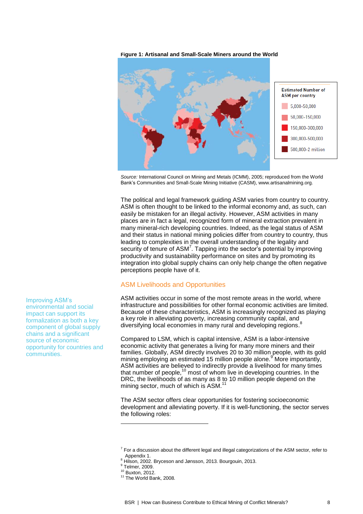**Figure 1: Artisanal and Small-Scale Miners around the World**



*Source:* International Council on Mining and Metals (ICMM), 2005; reproduced from the World Bank's Communities and Small-Scale Mining Initiative (CASM), www.artisanalmining.org.

The political and legal framework guiding ASM varies from country to country. ASM is often thought to be linked to the informal economy and, as such, can easily be mistaken for an illegal activity. However, ASM activities in many places are in fact a legal, recognized form of mineral extraction prevalent in many mineral-rich developing countries. Indeed, as the legal status of ASM and their status in national mining policies differ from country to country, thus leading to complexities in the overall understanding of the legality and security of tenure of ASM<sup>7</sup>. Tapping into the sector's potential by improving productivity and sustainability performance on sites and by promoting its integration into global supply chains can only help change the often negative perceptions people have of it.

#### ASM Livelihoods and Opportunities

ASM activities occur in some of the most remote areas in the world, where infrastructure and possibilities for other formal economic activities are limited. Because of these characteristics, ASM is increasingly recognized as playing a key role in alleviating poverty, increasing community capital, and diversifying local economies in many rural and developing regions.<sup>8</sup>

Compared to LSM, which is capital intensive, ASM is a labor-intensive economic activity that generates a living for many more miners and their families. Globally, ASM directly involves 20 to 30 million people, with its gold mining employing an estimated 15 million people alone.<sup>9</sup> More importantly, ASM activities are believed to indirectly provide a livelihood for many times that number of people,<sup>10</sup> most of whom live in developing countries. In the DRC, the livelihoods of as many as 8 to 10 million people depend on the mining sector, much of which is ASM.<sup>11</sup>

The ASM sector offers clear opportunities for fostering socioeconomic development and alleviating poverty. If it is well-functioning, the sector serves the following roles:

-

Improving ASM's environmental and social impact can support its formalization as both a key component of global supply chains and a significant source of economic opportunity for countries and communities.

 $7$  For a discussion about the different legal and illegal categorizations of the ASM sector, refer to Appendix 1.

<sup>8</sup> Hilson, 2002. Bryceson and Jønsson, 2013. Bourgouin, 2013.

<sup>9</sup> Telmer, 2009.

<sup>10</sup> Buxton, 2012.

<sup>&</sup>lt;sup>11</sup> The World Bank, 2008.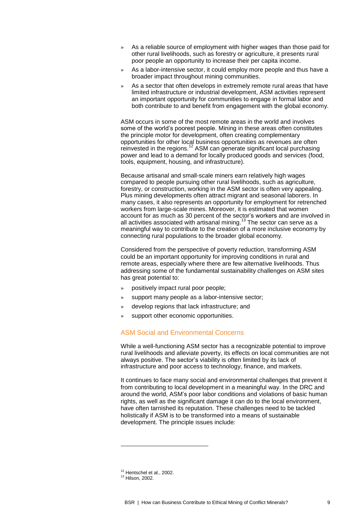- As a reliable source of employment with higher wages than those paid for other rural livelihoods, such as forestry or agriculture, it presents rural poor people an opportunity to increase their per capita income.
- As a labor-intensive sector, it could employ more people and thus have a broader impact throughout mining communities.
- » As a sector that often develops in extremely remote rural areas that have limited infrastructure or industrial development, ASM activities represent an important opportunity for communities to engage in formal labor and both contribute to and benefit from engagement with the global economy.

ASM occurs in some of the most remote areas in the world and involves some of the world's poorest people. Mining in these areas often constitutes the principle motor for development, often creating complementary opportunities for other local business opportunities as revenues are often reinvested in the regions.<sup>12</sup> ASM can generate significant local purchasing power and lead to a demand for locally produced goods and services (food, tools, equipment, housing, and infrastructure).

Because artisanal and small-scale miners earn relatively high wages compared to people pursuing other rural livelihoods, such as agriculture, forestry, or construction, working in the ASM sector is often very appealing. Plus mining developments often attract migrant and seasonal laborers. In many cases, it also represents an opportunity for employment for retrenched workers from large-scale mines. Moreover, it is estimated that women account for as much as 30 percent of the sector's workers and are involved in all activities associated with artisanal mining.<sup>13</sup> The sector can serve as a meaningful way to contribute to the creation of a more inclusive economy by connecting rural populations to the broader global economy.

Considered from the perspective of poverty reduction, transforming ASM could be an important opportunity for improving conditions in rural and remote areas, especially where there are few alternative livelihoods. Thus addressing some of the fundamental sustainability challenges on ASM sites has great potential to:

- » positively impact rural poor people;
- » support many people as a labor-intensive sector;
- » develop regions that lack infrastructure; and
- » support other economic opportunities.

#### ASM Social and Environmental Concerns

While a well-functioning ASM sector has a recognizable potential to improve rural livelihoods and alleviate poverty, its effects on local communities are not always positive. The sector's viability is often limited by its lack of infrastructure and poor access to technology, finance, and markets.

It continues to face many social and environmental challenges that prevent it from contributing to local development in a meaningful way. In the DRC and around the world, ASM's poor labor conditions and violations of basic human rights, as well as the significant damage it can do to the local environment, have often tarnished its reputation. These challenges need to be tackled holistically if ASM is to be transformed into a means of sustainable development. The principle issues include:

<sup>&</sup>lt;sup>12</sup> Hentschel et al., 2002.

<sup>13</sup> Hilson, 2002.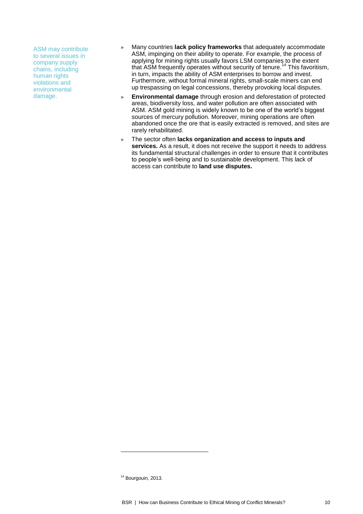ASM may contribute to several issues in company supply chains, including human rights violations and environmental damage.

- » Many countries **lack policy frameworks** that adequately accommodate ASM, impinging on their ability to operate. For example, the process of applying for mining rights usually favors LSM companies to the extent that ASM frequently operates without security of tenure. <sup>14</sup> This favoritism, in turn, impacts the ability of ASM enterprises to borrow and invest. Furthermore, without formal mineral rights, small-scale miners can end up trespassing on legal concessions, thereby provoking local disputes.
- » **Environmental damage** through erosion and deforestation of protected areas, biodiversity loss, and water pollution are often associated with ASM. ASM gold mining is widely known to be one of the world's biggest sources of mercury pollution. Moreover, mining operations are often abandoned once the ore that is easily extracted is removed, and sites are rarely rehabilitated.
- » The sector often **lacks organization and access to inputs and services.** As a result, it does not receive the support it needs to address its fundamental structural challenges in order to ensure that it contributes to people's well-being and to sustainable development. This lack of access can contribute to **land use disputes.**

<sup>&</sup>lt;sup>14</sup> Bourgouin, 2013.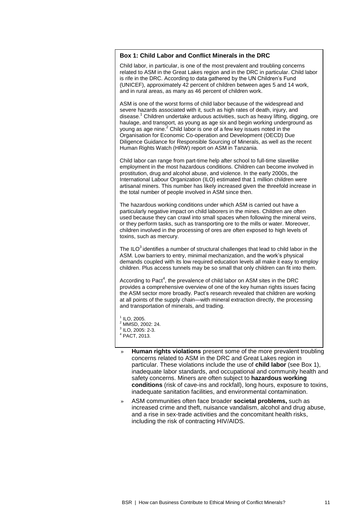#### **Box 1: Child Labor and Conflict Minerals in the DRC**

Child labor, in particular, is one of the most prevalent and troubling concerns related to ASM in the Great Lakes region and in the DRC in particular. Child labor is rife in the DRC. According to data gathered by the UN Children's Fund (UNICEF), approximately 42 percent of children between ages 5 and 14 work, and in rural areas, as many as 46 percent of children work.

ASM is one of the worst forms of child labor because of the widespread and severe hazards associated with it, such as high rates of death, injury, and disease. <sup>1</sup> Children undertake arduous activities, such as heavy lifting, digging, ore haulage, and transport, as young as age six and begin working underground as young as age nine.<sup>2</sup> Child labor is one of a few key issues noted in the Organisation for Economic Co-operation and Development (OECD) Due Diligence Guidance for Responsible Sourcing of Minerals, as well as the recent Human Rights Watch (HRW) report on ASM in Tanzania.

Child labor can range from part-time help after school to full-time slavelike employment in the most hazardous conditions. Children can become involved in prostitution, drug and alcohol abuse, and violence. In the early 2000s, the International Labour Organization (ILO) estimated that 1 million children were artisanal miners. This number has likely increased given the threefold increase in the total number of people involved in ASM since then.

The hazardous working conditions under which ASM is carried out have a particularly negative impact on child laborers in the mines. Children are often used because they can crawl into small spaces when following the mineral veins, or they perform tasks, such as transporting ore to the mills or water. Moreover, children involved in the processing of ores are often exposed to high levels of toxins, such as mercury.

The ILO<sup>3</sup> identifies a number of structural challenges that lead to child labor in the ASM. Low barriers to entry, minimal mechanization, and the work's physical demands coupled with its low required education levels all make it easy to employ children. Plus access tunnels may be so small that only children can fit into them.

According to Pact<sup>4</sup>, the prevalence of child labor on ASM sites in the DRC provides a comprehensive overview of one of the key human rights issues facing the ASM sector more broadly. Pact's research revealed that children are working at all points of the supply chain—with mineral extraction directly, the processing and transportation of minerals, and trading.

 $<sup>1</sup>$  ILO, 2005.</sup> <sup>2</sup> MMSD, 2002: 24.  $3$  ILO, 2005: 2-3. <sup>4</sup> PACT, 2013.

- » **Human rights violations** present some of the more prevalent troubling concerns related to ASM in the DRC and Great Lakes region in particular. These violations include the use of **child labor** (see Box 1), inadequate labor standards, and occupational and community health and safety concerns. Miners are often subject to **hazardous working conditions** (risk of cave-ins and rockfall), long hours, exposure to toxins, inadequate sanitation facilities, and environmental contamination.
- » ASM communities often face broader **societal problems,** such as increased crime and theft, nuisance vandalism, alcohol and drug abuse, and a rise in sex-trade activities and the concomitant health risks, including the risk of contracting HIV/AIDS.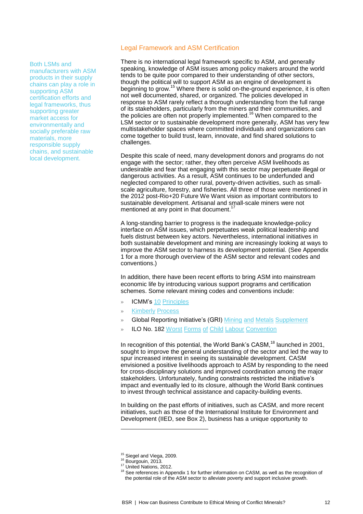#### Both LSMs and

manufacturers with ASM products in their supply chains can play a role in supporting ASM certification efforts and legal frameworks, thus supporting greater market access for environmentally and socially preferable raw materials, more responsible supply chains, and sustainable local development.

#### Legal Framework and ASM Certification

There is no international legal framework specific to ASM, and generally speaking, knowledge of ASM issues among policy makers around the world tends to be quite poor compared to their understanding of other sectors, though the political will to support ASM as an engine of development is beginning to grow.<sup>15</sup> Where there is solid on-the-ground experience, it is often not well documented, shared, or organized. The policies developed in response to ASM rarely reflect a thorough understanding from the full range of its stakeholders, particularly from the miners and their communities, and the policies are often not properly implemented.<sup>16</sup> When compared to the LSM sector or to sustainable development more generally, ASM has very few multistakeholder spaces where committed individuals and organizations can come together to build trust, learn, innovate, and find shared solutions to challenges.

Despite this scale of need, many development donors and programs do not engage with the sector; rather, they often perceive ASM livelihoods as undesirable and fear that engaging with this sector may perpetuate illegal or dangerous activities. As a result, ASM continues to be underfunded and neglected compared to other rural, poverty-driven activities, such as smallscale agriculture, forestry, and fisheries. All three of those were mentioned in the 2012 post-Rio+20 Future We Want vision as important contributors to sustainable development. Artisanal and small-scale miners were not mentioned at any point in that document.<sup>17</sup>

A long-standing barrier to progress is the inadequate knowledge-policy interface on ASM issues, which perpetuates weak political leadership and fuels distrust between key actors. Nevertheless, international initiatives in both sustainable development and mining are increasingly looking at ways to improve the ASM sector to harness its development potential. (See Appendix 1 for a more thorough overview of the ASM sector and relevant codes and conventions.)

In addition, there have been recent efforts to bring ASM into mainstream economic life by introducing various support programs and certification schemes. Some relevant mining codes and conventions include:

- » ICMM's 10 [Principles](http://www.icmm.com/our-work/sustainable-development-framework/10-principles)
- » [Kimberly](http://www.kimberleyprocess.com/) Process
- » Global Reporting Initiative's (GRI) Mining and Metals [Supplement](https://www.globalreporting.org/reporting/sector-guidance/mining-and-metals/Pages/default.aspx)
- » ILO No. 182 Worst Forms of Child Labour [Convention](http://www.ilo.org/ipec/facts/ILOconventionsonchildlabour/lang--en/index.htm)

In recognition of this potential, the World Bank's CASM,<sup>18</sup> launched in 2001, sought to improve the general understanding of the sector and led the way to spur increased interest in seeing its sustainable development. CASM envisioned a positive livelihoods approach to ASM by responding to the need for cross-disciplinary solutions and improved coordination among the major stakeholders. Unfortunately, funding constraints restricted the initiative's impact and eventually led to its closure, although the World Bank continues to invest through technical assistance and capacity-building events.

In building on the past efforts of initiatives, such as CASM, and more recent initiatives, such as those of the International Institute for Environment and Development (IIED, see Box 2), business has a unique opportunity to

<sup>&</sup>lt;sup>15</sup> Siegel and Viega, 2009.

<sup>&</sup>lt;sup>16</sup> Bourgouin, 2013.

<sup>17</sup> United Nations, 2012.

<sup>&</sup>lt;sup>18</sup> See references in Appendix 1 for further information on CASM, as well as the recognition of the potential role of the ASM sector to alleviate poverty and support inclusive growth.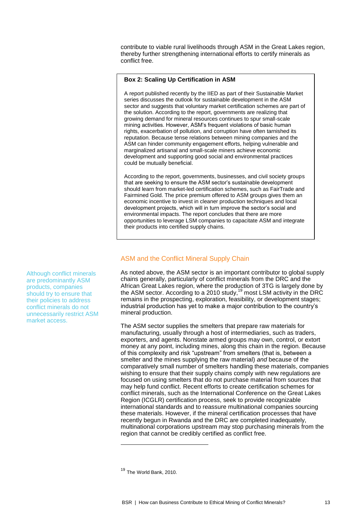contribute to viable rural livelihoods through ASM in the Great Lakes region, thereby further strengthening international efforts to certify minerals as conflict free.

#### **Box 2: Scaling Up Certification in ASM**

A report published recently by the IIED as part of their Sustainable Market series discusses the outlook for sustainable development in the ASM sector and suggests that voluntary market certification schemes are part of the solution. According to the report, governments are realizing that growing demand for mineral resources continues to spur small-scale mining activities. However, ASM's frequent violations of basic human rights, exacerbation of pollution, and corruption have often tarnished its reputation. Because tense relations between mining companies and the ASM can hinder community engagement efforts, helping vulnerable and marginalized artisanal and small-scale miners achieve economic development and supporting good social and environmental practices could be mutually beneficial.

According to the report, governments, businesses, and civil society groups that are seeking to ensure the ASM sector's sustainable development should learn from market-led certification schemes, such as FairTrade and Fairmined Gold. The price premium offered to ASM groups gives them an economic incentive to invest in cleaner production techniques and local development projects, which will in turn improve the sector's social and environmental impacts. The report concludes that there are more opportunities to leverage LSM companies to capacitate ASM and integrate their products into certified supply chains.

### ASM and the Conflict Mineral Supply Chain

As noted above, the ASM sector is an important contributor to global supply chains generally, particularly of conflict minerals from the DRC and the African Great Lakes region, where the production of 3TG is largely done by the ASM sector. According to a 2010 study,<sup>19</sup> most LSM activity in the DRC remains in the prospecting, exploration, feasibility, or development stages; industrial production has yet to make a major contribution to the country's mineral production.

The ASM sector supplies the smelters that prepare raw materials for manufacturing, usually through a host of intermediaries, such as traders, exporters, and agents. Nonstate armed groups may own, control, or extort money at any point, including mines, along this chain in the region. Because of this complexity and risk "upstream" from smelters (that is, between a smelter and the mines supplying the raw material) *and* because of the comparatively small number of smelters handling these materials, companies wishing to ensure that their supply chains comply with new regulations are focused on using smelters that do not purchase material from sources that may help fund conflict. Recent efforts to create certification schemes for conflict minerals, such as the International Conference on the Great Lakes Region (ICGLR) certification process, seek to provide recognizable international standards and to reassure multinational companies sourcing these materials. However, if the mineral certification processes that have recently begun in Rwanda and the DRC are completed inadequately, multinational corporations upstream may stop purchasing minerals from the region that cannot be credibly certified as conflict free.

-

are predominantly ASM products, companies should try to ensure that their policies to address conflict minerals do not unnecessarily restrict ASM market access.

Although conflict minerals

<sup>&</sup>lt;sup>19</sup> The World Bank, 2010.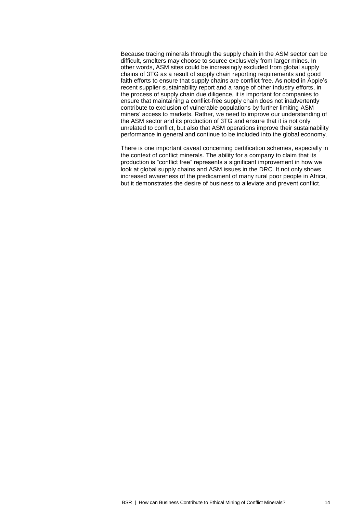Because tracing minerals through the supply chain in the ASM sector can be difficult, smelters may choose to source exclusively from larger mines. In other words, ASM sites could be increasingly excluded from global supply chains of 3TG as a result of supply chain reporting requirements and good faith efforts to ensure that supply chains are conflict free. As noted in Apple's recent supplier sustainability report and a range of other industry efforts, in the process of supply chain due diligence, it is important for companies to ensure that maintaining a conflict-free supply chain does not inadvertently contribute to exclusion of vulnerable populations by further limiting ASM miners' access to markets. Rather, we need to improve our understanding of the ASM sector and its production of 3TG and ensure that it is not only unrelated to conflict, but also that ASM operations improve their sustainability performance in general and continue to be included into the global economy.

There is one important caveat concerning certification schemes, especially in the context of conflict minerals. The ability for a company to claim that its production is "conflict free" represents a significant improvement in how we look at global supply chains and ASM issues in the DRC. It not only shows increased awareness of the predicament of many rural poor people in Africa, but it demonstrates the desire of business to alleviate and prevent conflict.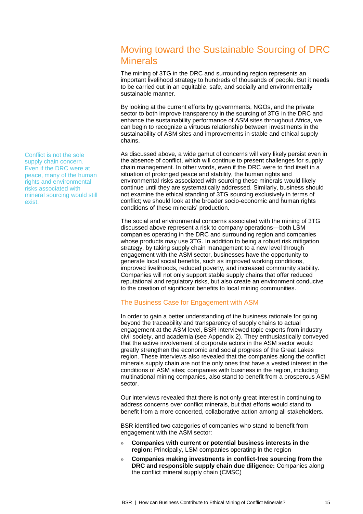### Moving toward the Sustainable Sourcing of DRC **Minerals**

The mining of 3TG in the DRC and surrounding region represents an important livelihood strategy to hundreds of thousands of people. But it needs to be carried out in an equitable, safe, and socially and environmentally sustainable manner.

By looking at the current efforts by governments, NGOs, and the private sector to both improve transparency in the sourcing of 3TG in the DRC and enhance the sustainability performance of ASM sites throughout Africa, we can begin to recognize a virtuous relationship between investments in the sustainability of ASM sites and improvements in stable and ethical supply chains.

As discussed above, a wide gamut of concerns will very likely persist even in the absence of conflict, which will continue to present challenges for supply chain management. In other words, even if the DRC were to find itself in a situation of prolonged peace and stability, the human rights and environmental risks associated with sourcing these minerals would likely continue until they are systematically addressed. Similarly, business should not examine the ethical standing of 3TG sourcing exclusively in terms of conflict; we should look at the broader socio-economic and human rights conditions of these minerals' production.

The social and environmental concerns associated with the mining of 3TG discussed above represent a risk to company operations—both LSM companies operating in the DRC and surrounding region and companies whose products may use 3TG. In addition to being a robust risk mitigation strategy, by taking supply chain management to a new level through engagement with the ASM sector, businesses have the opportunity to generate local social benefits, such as improved working conditions, improved livelihoods, reduced poverty, and increased community stability. Companies will not only support stable supply chains that offer reduced reputational and regulatory risks, but also create an environment conducive to the creation of significant benefits to local mining communities.

#### The Business Case for Engagement with ASM

In order to gain a better understanding of the business rationale for going beyond the traceability and transparency of supply chains to actual engagement at the ASM level, BSR interviewed topic experts from industry, civil society, and academia (see Appendix 2). They enthusiastically conveyed that the active involvement of corporate actors in the ASM sector would greatly strengthen the economic and social progress of the Great Lakes region. These interviews also revealed that the companies along the conflict minerals supply chain are not the only ones that have a vested interest in the conditions of ASM sites; companies with business in the region, including multinational mining companies, also stand to benefit from a prosperous ASM sector.

Our interviews revealed that there is not only great interest in continuing to address concerns over conflict minerals, but that efforts would stand to benefit from a more concerted, collaborative action among all stakeholders.

BSR identified two categories of companies who stand to benefit from engagement with the ASM sector:

- » **Companies with current or potential business interests in the region:** Principally, LSM companies operating in the region
- » **Companies making investments in conflict-free sourcing from the DRC and responsible supply chain due diligence:** Companies along the conflict mineral supply chain (CMSC)

Conflict is not the sole supply chain concern. Even if the DRC were at peace, many of the human rights and environmental risks associated with mineral sourcing would still exist.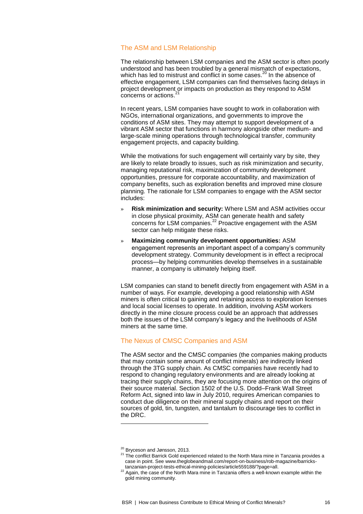#### The ASM and LSM Relationship

The relationship between LSM companies and the ASM sector is often poorly understood and has been troubled by a general mismatch of expectations, which has led to mistrust and conflict in some cases.<sup>20</sup> In the absence of effective engagement, LSM companies can find themselves facing delays in project development or impacts on production as they respond to ASM concerns or actions. 21

In recent years, LSM companies have sought to work in collaboration with NGOs, international organizations, and governments to improve the conditions of ASM sites. They may attempt to support development of a vibrant ASM sector that functions in harmony alongside other medium- and large-scale mining operations through technological transfer, community engagement projects, and capacity building.

While the motivations for such engagement will certainly vary by site, they are likely to relate broadly to issues, such as risk minimization and security, managing reputational risk, maximization of community development opportunities, pressure for corporate accountability, and maximization of company benefits, such as exploration benefits and improved mine closure planning. The rationale for LSM companies to engage with the ASM sector includes:

- » **Risk minimization and security:** Where LSM and ASM activities occur in close physical proximity, ASM can generate health and safety concerns for LSM companies.<sup>22</sup> Proactive engagement with the ASM sector can help mitigate these risks.
- » **Maximizing community development opportunities:** ASM engagement represents an important aspect of a company's community development strategy. Community development is in effect a reciprocal process—by helping communities develop themselves in a sustainable manner, a company is ultimately helping itself.

LSM companies can stand to benefit directly from engagement with ASM in a number of ways. For example, developing a good relationship with ASM miners is often critical to gaining and retaining access to exploration licenses and local social licenses to operate. In addition, involving ASM workers directly in the mine closure process could be an approach that addresses both the issues of the LSM company's legacy and the livelihoods of ASM miners at the same time.

#### The Nexus of CMSC Companies and ASM

The ASM sector and the CMSC companies (the companies making products that may contain some amount of conflict minerals) are indirectly linked through the 3TG supply chain. As CMSC companies have recently had to respond to changing regulatory environments and are already looking at tracing their supply chains, they are focusing more attention on the origins of their source material. Section 1502 of the U.S. Dodd–Frank Wall Street Reform Act, signed into law in July 2010, requires American companies to conduct due diligence on their mineral supply chains and report on their sources of gold, tin, tungsten, and tantalum to discourage ties to conflict in the DRC.

<sup>&</sup>lt;sup>20</sup> Bryceson and Jønsson, 2013.

<sup>&</sup>lt;sup>21</sup> The conflict Barrick Gold experienced related to the North Mara mine in Tanzania provides a case in point. See www.theglobeandmail.com/report-on-business/rob-magazine/barrickstanzanian-project-tests-ethical-mining-policies/article559188/?page=all.

<sup>22</sup> Again, the case of the North Mara mine in Tanzania offers a well-known example within the gold mining community.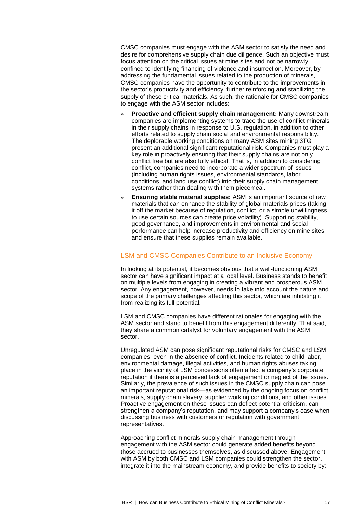CMSC companies must engage with the ASM sector to satisfy the need and desire for comprehensive supply chain due diligence. Such an objective must focus attention on the critical issues at mine sites and not be narrowly confined to identifying financing of violence and insurrection. Moreover, by addressing the fundamental issues related to the production of minerals, CMSC companies have the opportunity to contribute to the improvements in the sector's productivity and efficiency, further reinforcing and stabilizing the supply of these critical materials. As such, the rationale for CMSC companies to engage with the ASM sector includes:

- » **Proactive and efficient supply chain management:** Many downstream companies are implementing systems to trace the use of conflict minerals in their supply chains in response to U.S. regulation, in addition to other efforts related to supply chain social and environmental responsibility. The deplorable working conditions on many ASM sites mining 3TG present an additional significant reputational risk. Companies must play a key role in proactively ensuring that their supply chains are not only conflict free but are also fully ethical. That is, in addition to considering conflict, companies need to incorporate a wider spectrum of issues (including human rights issues, environmental standards, labor conditions, and land use conflict) into their supply chain management systems rather than dealing with them piecemeal.
- » **Ensuring stable material supplies:** ASM is an important source of raw materials that can enhance the stability of global materials prices (taking it off the market because of regulation, conflict, or a simple unwillingness to use certain sources can create price volatility). Supporting stability, good governance, and improvements in environmental and social performance can help increase productivity and efficiency on mine sites and ensure that these supplies remain available.

#### LSM and CMSC Companies Contribute to an Inclusive Economy

In looking at its potential, it becomes obvious that a well-functioning ASM sector can have significant impact at a local level. Business stands to benefit on multiple levels from engaging in creating a vibrant and prosperous ASM sector. Any engagement, however, needs to take into account the nature and scope of the primary challenges affecting this sector, which are inhibiting it from realizing its full potential.

LSM and CMSC companies have different rationales for engaging with the ASM sector and stand to benefit from this engagement differently. That said, they share a common catalyst for voluntary engagement with the ASM sector.

Unregulated ASM can pose significant reputational risks for CMSC and LSM companies, even in the absence of conflict. Incidents related to child labor, environmental damage, illegal activities, and human rights abuses taking place in the vicinity of LSM concessions often affect a company's corporate reputation if there is a perceived lack of engagement or neglect of the issues. Similarly, the prevalence of such issues in the CMSC supply chain can pose an important reputational risk—as evidenced by the ongoing focus on conflict minerals, supply chain slavery, supplier working conditions, and other issues. Proactive engagement on these issues can deflect potential criticism, can strengthen a company's reputation, and may support a company's case when discussing business with customers or regulation with government representatives.

Approaching conflict minerals supply chain management through engagement with the ASM sector could generate added benefits beyond those accrued to businesses themselves, as discussed above. Engagement with ASM by both CMSC and LSM companies could strengthen the sector, integrate it into the mainstream economy, and provide benefits to society by: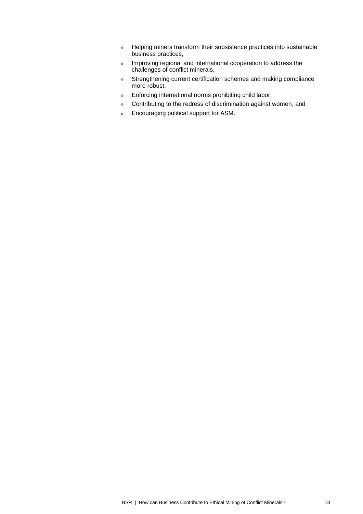- » Helping miners transform their subsistence practices into sustainable business practices,
- » Improving regional and international cooperation to address the challenges of conflict minerals,
- » Strengthening current certification schemes and making compliance more robust,
- » Enforcing international norms prohibiting child labor,
- » Contributing to the redress of discrimination against women, and
- » Encouraging political support for ASM.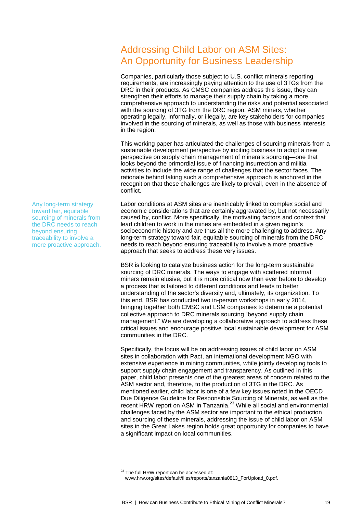# Addressing Child Labor on ASM Sites: An Opportunity for Business Leadership

Companies, particularly those subject to U.S. conflict minerals reporting requirements, are increasingly paying attention to the use of 3TGs from the DRC in their products. As CMSC companies address this issue, they can strengthen their efforts to manage their supply chain by taking a more comprehensive approach to understanding the risks and potential associated with the sourcing of 3TG from the DRC region. ASM miners, whether operating legally, informally, or illegally, are key stakeholders for companies involved in the sourcing of minerals, as well as those with business interests in the region.

This working paper has articulated the challenges of sourcing minerals from a sustainable development perspective by inciting business to adopt a new perspective on supply chain management of minerals sourcing—one that looks beyond the primordial issue of financing insurrection and militia activities to include the wide range of challenges that the sector faces. The rationale behind taking such a comprehensive approach is anchored in the recognition that these challenges are likely to prevail, even in the absence of conflict.

Labor conditions at ASM sites are inextricably linked to complex social and economic considerations that are certainly aggravated by, but not necessarily caused by, conflict. More specifically, the motivating factors and context that lead children to work in the mines are embedded in a given region's socioeconomic history and are thus all the more challenging to address. Any long-term strategy toward fair, equitable sourcing of minerals from the DRC needs to reach beyond ensuring traceability to involve a more proactive approach that seeks to address these very issues.

BSR is looking to catalyze business action for the long-term sustainable sourcing of DRC minerals. The ways to engage with scattered informal miners remain elusive, but it is more critical now than ever before to develop a process that is tailored to different conditions and leads to better understanding of the sector's diversity and, ultimately, its organization. To this end, BSR has conducted two in-person workshops in early 2014, bringing together both CMSC and LSM companies to determine a potential collective approach to DRC minerals sourcing "beyond supply chain management." We are developing a collaborative approach to address these critical issues and encourage positive local sustainable development for ASM communities in the DRC.

Specifically, the focus will be on addressing issues of child labor on ASM sites in collaboration with Pact, an international development NGO with extensive experience in mining communities, while jointly developing tools to support supply chain engagement and transparency. As outlined in this paper, child labor presents one of the greatest areas of concern related to the ASM sector and, therefore, to the production of 3TG in the DRC. As mentioned earlier, child labor is one of a few key issues noted in the OECD Due Diligence Guideline for Responsible Sourcing of Minerals, as well as the recent HRW report on ASM in Tanzania.<sup>23</sup> While all social and environmental challenges faced by the ASM sector are important to the ethical production and sourcing of these minerals, addressing the issue of child labor on ASM sites in the Great Lakes region holds great opportunity for companies to have a significant impact on local communities.

-

Any long-term strategy toward fair, equitable sourcing of minerals from the DRC needs to reach beyond ensuring traceability to involve a more proactive approach.

<sup>&</sup>lt;sup>23</sup> The full HRW report can be accessed at: www.hrw.org/sites/default/files/reports/tanzania0813\_ForUpload\_0.pdf.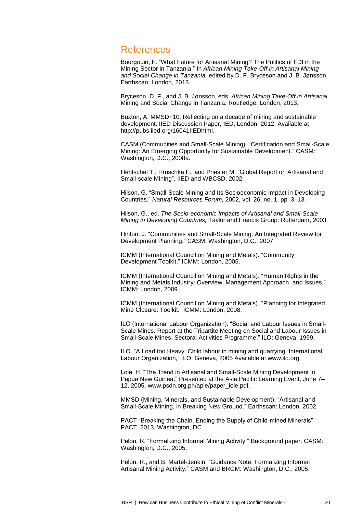### References

Bourgouin, F. "What Future for Artisanal Mining? The Politics of FDI in the Mining Sector in Tanzania." In *African Mining Take-Off in Artisanal Mining and Social Change in Tanzania,* edited by D. F. Bryceson and J. B. Jønsson. Earthscan: London, 2013.

Bryceson, D. F., and J. B. Jønsson, eds. *African Mining Take-Off in Artisanal*  Mining and Social Change in Tanzania. Routledge: London, 2013.

Buxton, A. MMSD+10: Reflecting on a decade of mining and sustainable development. IIED Discussion Paper, IED, London, 2012. Available at http://pubs.iied.org/16041IIEDhtml.

CASM (Communities and Small-Scale Mining). "Certification and Small-Scale Mining: An Emerging Opportunity for Sustainable Development." CASM: Washington, D.C., 2008a.

Hentschel T., Hruschka F., and Priester M. "Global Report on Artisanal and Small-scale Mining", IIED and WBCSD, 2002.

Hilson, G. "Small-Scale Mining and Its Socioeconomic Impact in Developing Countries." *Natural Resources Forum,* 2002, vol. 26, no. 1, pp. 3–13.

Hilson, G., ed. *The Socio-economic Impacts of Artisanal and Small-Scale Mining in Developing Countries,* Taylor and Francis Group: Rotterdam, 2003.

Hinton, J. "Communities and Small-Scale Mining: An Integrated Review for Development Planning." CASM: Washington, D.C., 2007.

ICMM (International Council on Mining and Metals). "Community Development Toolkit." ICMM: London, 2005.

ICMM (International Council on Mining and Metals). "Human Rights in the Mining and Metals Industry: Overview, Management Approach, and Issues." ICMM: London, 2009.

ICMM (International Council on Mining and Metals). "Planning for Integrated Mine Closure: Toolkit." ICMM: London, 2008.

ILO (International Labour Organization). "Social and Labour Issues in Small-Scale Mines. Report at the Tripartite Meeting on Social and Labour Issues in Small-Scale Mines, Sectoral Activities Programme," ILO: Geneva, 1999.

ILO. "A Load too Heavy: Child labour in mining and quarrying. International Labour Organization," ILO: Geneva, 2005 Available at www.ilo.org.

Lole, H. "The Trend in Artisanal and Small-Scale Mining Development in Papua New Guinea." Presented at the Asia Pacific Learning Event, June 7– 12, 2005, www.psdn.org.ph/aple/paper\_lole.pdf.

MMSD (Mining, Minerals, and Sustainable Development). "Artisanal and Small-Scale Mining, in Breaking New Ground." Earthscan: London, 2002.

PACT "Breaking the Chain. Ending the Supply of Child-mined Minerals" PACT, 2013, Washington, DC.

Pelon, R. "Formalizing Informal Mining Activity." Background paper. CASM: Washington, D.C., 2005.

Pelon, R., and B. Martel-Jenkin. "Guidance Note: Formalizing Informal Artisanal Mining Activity." CASM and BRGM: Washington, D.C., 2005.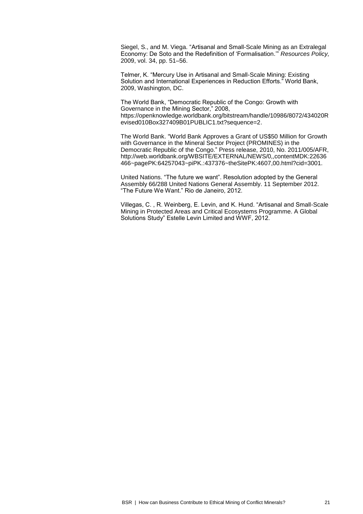Siegel, S., and M. Viega. "Artisanal and Small-Scale Mining as an Extralegal Economy: De Soto and the Redefinition of 'Formalisation.'" *Resources Policy,* 2009, vol. 34, pp. 51–56.

Telmer, K. "Mercury Use in Artisanal and Small-Scale Mining: Existing Solution and International Experiences in Reduction Efforts." World Bank, 2009, Washington, DC.

The World Bank, "Democratic Republic of the Congo: Growth with Governance in the Mining Sector," 2008, https://openknowledge.worldbank.org/bitstream/handle/10986/8072/434020R evised010Box327409B01PUBLIC1.txt?sequence=2.

The World Bank. "World Bank Approves a Grant of US\$50 Million for Growth with Governance in the Mineral Sector Project (PROMINES) in the Democratic Republic of the Congo." Press release, 2010, No. 2011/005/AFR, http://web.worldbank.org/WBSITE/EXTERNAL/NEWS/0,,contentMDK:22636 466~pagePK:64257043~piPK.:437376~theSitePK:4607,00.html?cid=3001.

United Nations. "The future we want". Resolution adopted by the General Assembly 66/288 United Nations General Assembly. 11 September 2012. "The Future We Want." Rio de Janeiro, 2012.

Villegas, C. , R. Weinberg, E. Levin, and K. Hund. "Artisanal and Small-Scale Mining in Protected Areas and Critical Ecosystems Programme. A Global Solutions Study" Estelle Levin Limited and WWF, 2012.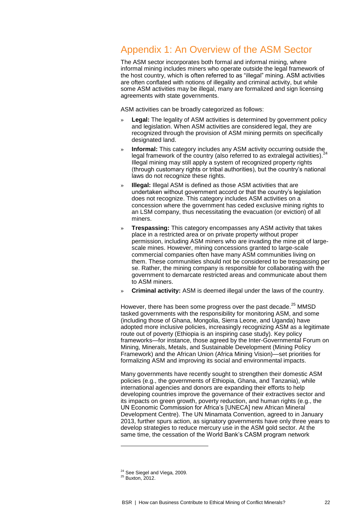# Appendix 1: An Overview of the ASM Sector

The ASM sector incorporates both formal and informal mining, where informal mining includes miners who operate outside the legal framework of the host country, which is often referred to as "illegal" mining. ASM activities are often conflated with notions of illegality and criminal activity, but while some ASM activities may be illegal, many are formalized and sign licensing agreements with state governments.

ASM activities can be broadly categorized as follows:

- **Legal:** The legality of ASM activities is determined by government policy and legislation. When ASM activities are considered legal, they are recognized through the provision of ASM mining permits on specifically designated land.
- **Informal:** This category includes any ASM activity occurring outside the legal framework of the country (also referred to as extralegal activities).  $^{24}$ Illegal mining may still apply a system of recognized property rights (through customary rights or tribal authorities), but the country's national laws do not recognize these rights.
- » **Illegal:** Illegal ASM is defined as those ASM activities that are undertaken without government accord or that the country's legislation does not recognize. This category includes ASM activities on a concession where the government has ceded exclusive mining rights to an LSM company, thus necessitating the evacuation (or eviction) of all miners.
- » **Trespassing:** This category encompasses any ASM activity that takes place in a restricted area or on private property without proper permission, including ASM miners who are invading the mine pit of largescale mines. However, mining concessions granted to large-scale commercial companies often have many ASM communities living on them. These communities should not be considered to be trespassing per se. Rather, the mining company is responsible for collaborating with the government to demarcate restricted areas and communicate about them to ASM miners.
- » **Criminal activity:** ASM is deemed illegal under the laws of the country.

However, there has been some progress over the past decade.<sup>25</sup> MMSD tasked governments with the responsibility for monitoring ASM, and some (including those of Ghana, Mongolia, Sierra Leone, and Uganda) have adopted more inclusive policies, increasingly recognizing ASM as a legitimate route out of poverty (Ethiopia is an inspiring case study). Key policy frameworks—for instance, those agreed by the Inter-Governmental Forum on Mining, Minerals, Metals, and Sustainable Development (Mining Policy Framework) and the African Union (Africa Mining Vision)—set priorities for formalizing ASM and improving its social and environmental impacts.

Many governments have recently sought to strengthen their domestic ASM policies (e.g., the governments of Ethiopia, Ghana, and Tanzania), while international agencies and donors are expanding their efforts to help developing countries improve the governance of their extractives sector and its impacts on green growth, poverty reduction, and human rights (e.g., the UN Economic Commission for Africa's [UNECA] new African Mineral Development Centre). The UN Minamata Convention, agreed to in January 2013, further spurs action, as signatory governments have only three years to develop strategies to reduce mercury use in the ASM gold sector. At the same time, the cessation of the World Bank's CASM program network

<sup>&</sup>lt;sup>24</sup> See Siegel and Viega, 2009.

<sup>25</sup> Buxton, 2012.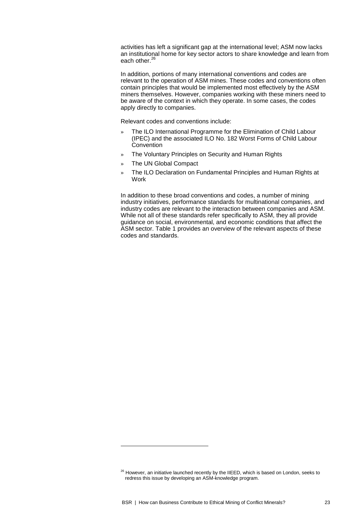activities has left a significant gap at the international level; ASM now lacks an institutional home for key sector actors to share knowledge and learn from each other.<sup>26</sup>

In addition, portions of many international conventions and codes are relevant to the operation of ASM mines. These codes and conventions often contain principles that would be implemented most effectively by the ASM miners themselves. However, companies working with these miners need to be aware of the context in which they operate. In some cases, the codes apply directly to companies.

Relevant codes and conventions include:

- » The ILO International Programme for the Elimination of Child Labour (IPEC) and the associated ILO No. 182 Worst Forms of Child Labour Convention
- » The Voluntary Principles on Security and Human Rights
- » The UN Global Compact

-

» The ILO Declaration on Fundamental Principles and Human Rights at Work

In addition to these broad conventions and codes, a number of mining industry initiatives, performance standards for multinational companies, and industry codes are relevant to the interaction between companies and ASM. While not all of these standards refer specifically to ASM, they all provide guidance on social, environmental, and economic conditions that affect the ASM sector. Table 1 provides an overview of the relevant aspects of these codes and standards.

 $26$  However, an initiative launched recently by the IIEED, which is based on London, seeks to redress this issue by developing an ASM-knowledge program.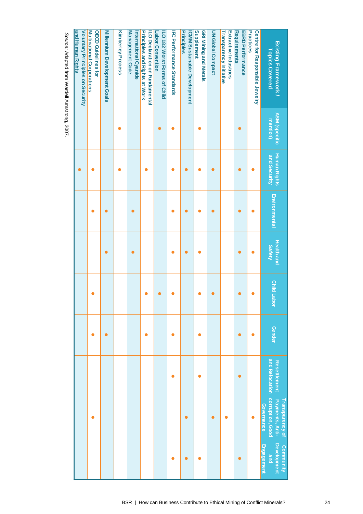| Existing Framework /<br><b>Topics Covered</b>                          | <b>ASM (specific</b><br>mention) | <b>Human Rights</b><br>and Security | Environmental | <b>Health and</b><br><b>Safety</b> | <b>Child Labor</b> | <b>Gender</b> | and Relocation<br><b>Resettlement</b> | corruption, Good<br>Payments, Anti-<br>Transparency of<br><b>Governance</b> | <b>Development</b><br>Engagement<br>Community<br>and |
|------------------------------------------------------------------------|----------------------------------|-------------------------------------|---------------|------------------------------------|--------------------|---------------|---------------------------------------|-----------------------------------------------------------------------------|------------------------------------------------------|
| <b>Practices</b><br>Centre for Responsible Jewelry                     |                                  |                                     |               |                                    |                    |               |                                       |                                                                             |                                                      |
| <b>Requirements</b><br><b>EBRD Performance</b>                         |                                  |                                     |               |                                    |                    |               | 0                                     |                                                                             | с                                                    |
| <b>Transparency Initiative</b><br>Extractive Industries                |                                  |                                     |               |                                    |                    |               |                                       | $\bullet$                                                                   |                                                      |
| UN Global Compact                                                      |                                  |                                     |               |                                    |                    |               |                                       | c                                                                           |                                                      |
| <b>Supplement</b><br><b>GRI Mining and Metals</b>                      |                                  |                                     |               |                                    |                    |               | $\bullet$                             |                                                                             |                                                      |
| Principles<br><b>ICMM Sustainable Development</b>                      |                                  |                                     |               |                                    |                    |               |                                       | $\bullet$                                                                   |                                                      |
| <b>IFC Performance Standards</b>                                       |                                  |                                     |               |                                    |                    |               | c                                     |                                                                             |                                                      |
| ILO 182 Worst Forms of Child<br>Labor Convention                       |                                  |                                     |               |                                    |                    |               |                                       |                                                                             |                                                      |
| <b>Principles and Rights at Work</b><br>ILO Declaration on Fundamental |                                  |                                     |               |                                    |                    |               |                                       |                                                                             |                                                      |
| <b>Management Code</b><br>International Cyanide                        |                                  |                                     |               |                                    |                    |               |                                       |                                                                             |                                                      |
| <b>Kimberley Process</b>                                               |                                  |                                     |               |                                    |                    |               |                                       |                                                                             |                                                      |
| <b>Millennium Development Goals</b>                                    |                                  |                                     |               |                                    |                    |               |                                       |                                                                             |                                                      |
| <b>Multinational Corporations</b><br><b>OECD Guidelines for</b>        |                                  |                                     |               |                                    |                    |               |                                       |                                                                             |                                                      |
| and Human Rights<br>Voluntary Principles on Security                   |                                  |                                     |               |                                    |                    |               |                                       |                                                                             |                                                      |
| Source: Adapted from Wardell Armstrong, 2007.                          |                                  |                                     |               |                                    |                    |               |                                       |                                                                             |                                                      |

Source: Adapted from Wardell Armstrong, 2007.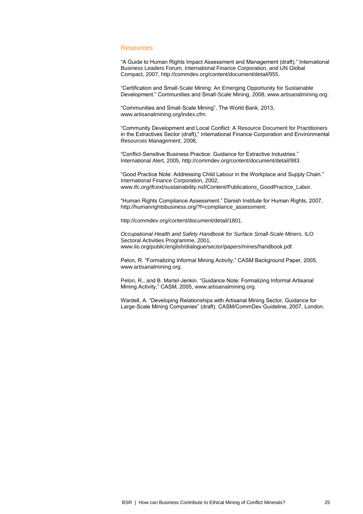#### **Resources**

"A Guide to Human Rights Impact Assessment and Management (draft)." International Business Leaders Forum, International Finance Corporation, and UN Global Compact, 2007, [http://commdev.org/content/document/detail/955.](http://commdev.org/content/document/detail/955)

"Certification and Small-Scale Mining: An Emerging Opportunity for Sustainable Development." Communities and Small-Scale Mining, 2008[, www.artisanalmining.org.](http://www.artisanalmining.org/)

"Communities and Small-Scale Mining", The World Bank, 2013, [www.artisanalmining.org/index.cfm.](http://www.artisanalmining.org/index.cfm)

"Community Development and Local Conflict: A Resource Document for Practitioners in the Extractives Sector (draft)," International Finance Corporation and Environmental Resources Management, 2008,

"Conflict-Sensitive Business Practice: Guidance for Extractive Industries." International Alert, 2005, [http://commdev.org/content/document/detail/983.](http://commdev.org/content/document/detail/983)

"Good Practice Note: Addressing Child Labour in the Workplace and Supply Chain." International Finance Corporation, 2002, [www.ifc.org/ifcext/sustainability.nsf/Content/Publications\\_GoodPractice\\_Labor.](http://www.ifc.org/ifcext/sustainability.nsf/Content/Publications_GoodPractice_Labor)

"Human Rights Compliance Assessment." Danish Institute for Human Rights, 2007, [http://humanrightsbusiness.org/?f=compliance\\_assessment.](http://humanrightsbusiness.org/?f=compliance_assessment)

[http://commdev.org/content/document/detail/1801.](http://commdev.org/content/document/detail/1801)

*Occupational Health and Safety Handbook for Surface Small-Scale Miners,* ILO Sectoral Activities Programme, 2001, [www.ilo.org/public/english/dialogue/sector/papers/mines/handbook.pdf.](http://www.ilo.org/public/english/dialogue/sector/papers/mines/handbook.pdf)

Pelon, R. "Formalizing Informal Mining Activity," CASM Background Paper, 2005, [www.artisanalmining.org.](http://www.artisanalmining.org/)

Pelon, R., and B. Martel-Jenkin. "Guidance Note: Formalizing Informal Artisanal Mining Activity," CASM, 2005[, www.artisanalmining.org.](http://www.artisanalmining.org/)

Wardell, A. "Developing Relationships with Artisanal Mining Sector, Guidance for Large-Scale Mining Companies" (draft). CASM/CommDev Guideline, 2007, London.